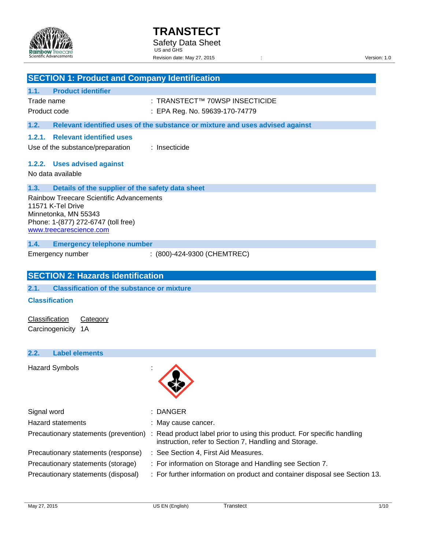

|                       | <b>SECTION 1: Product and Company Identification</b>                                                                                                    |                                                                               |  |  |
|-----------------------|---------------------------------------------------------------------------------------------------------------------------------------------------------|-------------------------------------------------------------------------------|--|--|
| 1.1.                  | <b>Product identifier</b>                                                                                                                               |                                                                               |  |  |
| Trade name            |                                                                                                                                                         | : TRANSTECT™ 70WSP INSECTICIDE                                                |  |  |
| Product code          |                                                                                                                                                         | : EPA Reg. No. 59639-170-74779                                                |  |  |
| 1.2.                  |                                                                                                                                                         | Relevant identified uses of the substance or mixture and uses advised against |  |  |
| 1.2.1.                | <b>Relevant identified uses</b>                                                                                                                         |                                                                               |  |  |
|                       | Use of the substance/preparation                                                                                                                        | : Insecticide                                                                 |  |  |
| 1.2.2.                | <b>Uses advised against</b>                                                                                                                             |                                                                               |  |  |
|                       | No data available                                                                                                                                       |                                                                               |  |  |
| 1.3.                  | Details of the supplier of the safety data sheet                                                                                                        |                                                                               |  |  |
|                       | Rainbow Treecare Scientific Advancements<br>11571 K-Tel Drive<br>Minnetonka, MN 55343<br>Phone: 1-(877) 272-6747 (toll free)<br>www.treecarescience.com |                                                                               |  |  |
| 1.4.                  | <b>Emergency telephone number</b>                                                                                                                       |                                                                               |  |  |
|                       | Emergency number                                                                                                                                        | : (800)-424-9300 (CHEMTREC)                                                   |  |  |
|                       | <b>SECTION 2: Hazards identification</b>                                                                                                                |                                                                               |  |  |
| 2.1.                  | <b>Classification of the substance or mixture</b>                                                                                                       |                                                                               |  |  |
| <b>Classification</b> |                                                                                                                                                         |                                                                               |  |  |
| Classification        | Category                                                                                                                                                |                                                                               |  |  |
|                       | Carcinogenicity 1A                                                                                                                                      |                                                                               |  |  |
| 2.2.                  | <b>Label elements</b>                                                                                                                                   |                                                                               |  |  |
|                       | <b>Hazard Symbols</b>                                                                                                                                   |                                                                               |  |  |

| Signal word                           | : DANGER                                                                                                                          |
|---------------------------------------|-----------------------------------------------------------------------------------------------------------------------------------|
| <b>Hazard statements</b>              | : May cause cancer.                                                                                                               |
| Precautionary statements (prevention) | : Read product label prior to using this product. For specific handling<br>instruction, refer to Section 7, Handling and Storage. |
| Precautionary statements (response)   | : See Section 4, First Aid Measures.                                                                                              |
| Precautionary statements (storage)    | : For information on Storage and Handling see Section 7.                                                                          |
| Precautionary statements (disposal)   | : For further information on product and container disposal see Section 13.                                                       |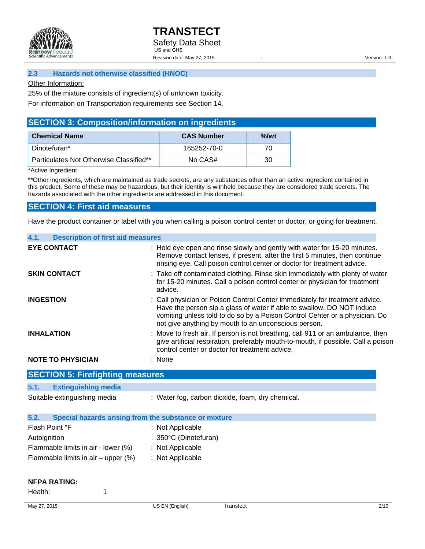

## **2.3 Hazards not otherwise classified (HNOC)**

#### Other Information:

25% of the mixture consists of ingredient(s) of unknown toxicity.

For information on Transportation requirements see Section 14.

# **SECTION 3: Composition/information on ingredients**

| <b>Chemical Name</b>                    | <b>CAS Number</b> | $\%$ /wt |
|-----------------------------------------|-------------------|----------|
| Dinotefuran*                            | 165252-70-0       | 70       |
| Particulates Not Otherwise Classified** | No CAS#           | 30       |

\*Active Ingredient

\*\*Other ingredients, which are maintained as trade secrets, are any substances other than an active ingredient contained in this product. Some of these may be hazardous, but their identity is withheld because they are considered trade secrets. The hazards associated with the other ingredients are addressed in this document.

## **SECTION 4: First aid measures**

Have the product container or label with you when calling a poison control center or doctor, or going for treatment.

| <b>Description of first aid measures</b>                                                                                                                                                                                                                                                     |
|----------------------------------------------------------------------------------------------------------------------------------------------------------------------------------------------------------------------------------------------------------------------------------------------|
| : Hold eye open and rinse slowly and gently with water for 15-20 minutes.<br>Remove contact lenses, if present, after the first 5 minutes, then continue<br>rinsing eye. Call poison control center or doctor for treatment advice.                                                          |
| : Take off contaminated clothing. Rinse skin immediately with plenty of water<br>for 15-20 minutes. Call a poison control center or physician for treatment<br>advice.                                                                                                                       |
| : Call physician or Poison Control Center immediately for treatment advice.<br>Have the person sip a glass of water if able to swallow. DO NOT induce<br>vomiting unless told to do so by a Poison Control Center or a physician. Do<br>not give anything by mouth to an unconscious person. |
| : Move to fresh air. If person is not breathing, call 911 or an ambulance, then<br>give artificial respiration, preferably mouth-to-mouth, if possible. Call a poison<br>control center or doctor for treatment advice.                                                                      |
| : None                                                                                                                                                                                                                                                                                       |
|                                                                                                                                                                                                                                                                                              |

| 5.1. | <b>Extinguishing media</b> |  |
|------|----------------------------|--|
|      |                            |  |

Suitable extinguishing media : Water fog, carbon dioxide, foam, dry chemical.

| 5.2.           | Special hazards arising from the substance or mixture |                                 |
|----------------|-------------------------------------------------------|---------------------------------|
| Flash Point °F |                                                       | : Not Applicable                |
| Autoignition   |                                                       | $: 350^{\circ}$ C (Dinotefuran) |
|                | Flammable limits in air - lower (%)                   | : Not Applicable                |
|                | Flammable limits in $air - upper$ (%)                 | : Not Applicable                |
|                |                                                       |                                 |

# **NFPA RATING:**

Health: 1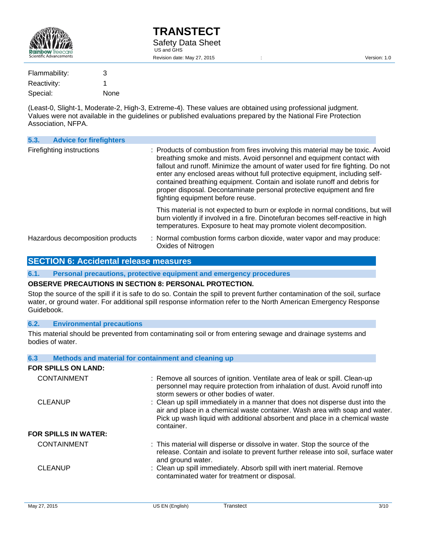

(Least-0, Slight-1, Moderate-2, High-3, Extreme-4). These values are obtained using professional judgment. Values were not available in the guidelines or published evaluations prepared by the National Fire Protection Association, NFPA.

| 5.3.                      | <b>Advice for firefighters</b>   |                                                                                                                                                                                                                                                                                                                                                                                                                                                                                                                     |  |
|---------------------------|----------------------------------|---------------------------------------------------------------------------------------------------------------------------------------------------------------------------------------------------------------------------------------------------------------------------------------------------------------------------------------------------------------------------------------------------------------------------------------------------------------------------------------------------------------------|--|
| Firefighting instructions |                                  | : Products of combustion from fires involving this material may be toxic. Avoid<br>breathing smoke and mists. Avoid personnel and equipment contact with<br>fallout and runoff. Minimize the amount of water used for fire fighting. Do not<br>enter any enclosed areas without full protective equipment, including self-<br>contained breathing equipment. Contain and isolate runoff and debris for<br>proper disposal. Decontaminate personal protective equipment and fire<br>fighting equipment before reuse. |  |
|                           |                                  | This material is not expected to burn or explode in normal conditions, but will<br>burn violently if involved in a fire. Dinotefuran becomes self-reactive in high<br>temperatures. Exposure to heat may promote violent decomposition.                                                                                                                                                                                                                                                                             |  |
|                           | Hazardous decomposition products | : Normal combustion forms carbon dioxide, water vapor and may produce:<br>Oxides of Nitrogen                                                                                                                                                                                                                                                                                                                                                                                                                        |  |

# **SECTION 6: Accidental release measures**

**6.1. Personal precautions, protective equipment and emergency procedures** 

#### **OBSERVE PRECAUTIONS IN SECTION 8: PERSONAL PROTECTION.**

Stop the source of the spill if it is safe to do so. Contain the spill to prevent further contamination of the soil, surface water, or ground water. For additional spill response information refer to the North American Emergency Response Guidebook.

## **6.2. Environmental precautions**

This material should be prevented from contaminating soil or from entering sewage and drainage systems and bodies of water.

| 6.3                         | Methods and material for containment and cleaning up                                                                                                                                                                                                      |
|-----------------------------|-----------------------------------------------------------------------------------------------------------------------------------------------------------------------------------------------------------------------------------------------------------|
| FOR SPILLS ON LAND:         |                                                                                                                                                                                                                                                           |
| <b>CONTAINMENT</b>          | : Remove all sources of ignition. Ventilate area of leak or spill. Clean-up<br>personnel may require protection from inhalation of dust. Avoid runoff into<br>storm sewers or other bodies of water.                                                      |
| <b>CLEANUP</b>              | : Clean up spill immediately in a manner that does not disperse dust into the<br>air and place in a chemical waste container. Wash area with soap and water.<br>Pick up wash liquid with additional absorbent and place in a chemical waste<br>container. |
| <b>FOR SPILLS IN WATER:</b> |                                                                                                                                                                                                                                                           |
| <b>CONTAINMENT</b>          | : This material will disperse or dissolve in water. Stop the source of the<br>release. Contain and isolate to prevent further release into soil, surface water<br>and ground water.                                                                       |
| <b>CLEANUP</b>              | : Clean up spill immediately. Absorb spill with inert material. Remove<br>contaminated water for treatment or disposal.                                                                                                                                   |
|                             |                                                                                                                                                                                                                                                           |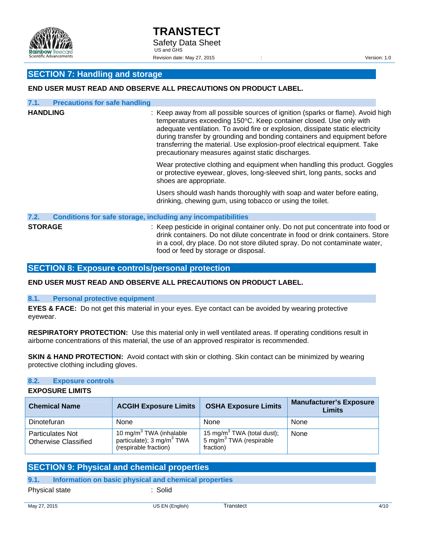

# **SECTION 7: Handling and storage**

# **END USER MUST READ AND OBSERVE ALL PRECAUTIONS ON PRODUCT LABEL.**

| 7.1.            | <b>Precautions for safe handling</b>                                |                                                                                                                                                                                                                                                                                                                                                                                                                                                       |
|-----------------|---------------------------------------------------------------------|-------------------------------------------------------------------------------------------------------------------------------------------------------------------------------------------------------------------------------------------------------------------------------------------------------------------------------------------------------------------------------------------------------------------------------------------------------|
| <b>HANDLING</b> |                                                                     | : Keep away from all possible sources of ignition (sparks or flame). Avoid high<br>temperatures exceeding 150°C. Keep container closed. Use only with<br>adequate ventilation. To avoid fire or explosion, dissipate static electricity<br>during transfer by grounding and bonding containers and equipment before<br>transferring the material. Use explosion-proof electrical equipment. Take<br>precautionary measures against static discharges. |
|                 |                                                                     | Wear protective clothing and equipment when handling this product. Goggles<br>or protective eyewear, gloves, long-sleeved shirt, long pants, socks and<br>shoes are appropriate.                                                                                                                                                                                                                                                                      |
|                 |                                                                     | Users should wash hands thoroughly with soap and water before eating,<br>drinking, chewing gum, using tobacco or using the toilet.                                                                                                                                                                                                                                                                                                                    |
| 7.2.            | <b>Conditions for safe storage, including any incompatibilities</b> |                                                                                                                                                                                                                                                                                                                                                                                                                                                       |
| <b>STORAGE</b>  |                                                                     | : Keep pesticide in original container only. Do not put concentrate into food or<br>drink containers. Do not dilute concentrate in food or drink containers. Store<br>in a cool, dry place. Do not store diluted spray. Do not contaminate water,<br>food or feed by storage or disposal.                                                                                                                                                             |

## **SECTION 8: Exposure controls/personal protection**

**END USER MUST READ AND OBSERVE ALL PRECAUTIONS ON PRODUCT LABEL.** 

#### **8.1. Personal protective equipment**

**EYES & FACE:** Do not get this material in your eyes. Eye contact can be avoided by wearing protective eyewear.

**RESPIRATORY PROTECTION:** Use this material only in well ventilated areas. If operating conditions result in airborne concentrations of this material, the use of an approved respirator is recommended.

**SKIN & HAND PROTECTION:** Avoid contact with skin or clothing. Skin contact can be minimized by wearing protective clothing including gloves.

#### **8.2. Exposure controls**

#### **EXPOSURE LIMITS**

| <b>Chemical Name</b>                                   | <b>ACGIH Exposure Limits</b>                                                                          | <b>OSHA Exposure Limits</b>                                                                | Manufacturer's Exposure<br>Limits |
|--------------------------------------------------------|-------------------------------------------------------------------------------------------------------|--------------------------------------------------------------------------------------------|-----------------------------------|
| Dinotefuran                                            | None                                                                                                  | None                                                                                       | None                              |
| <b>Particulates Not</b><br><b>Otherwise Classified</b> | 10 mg/m <sup>3</sup> TWA (inhalable<br>particulate); 3 mg/m <sup>3</sup> TWA<br>(respirable fraction) | 15 mg/m <sup>3</sup> TWA (total dust);<br>5 mg/m <sup>3</sup> TWA (respirable<br>fraction) | None                              |

# **SECTION 9: Physical and chemical properties**

# **9.1. Information on basic physical and chemical properties**

Physical state : Solid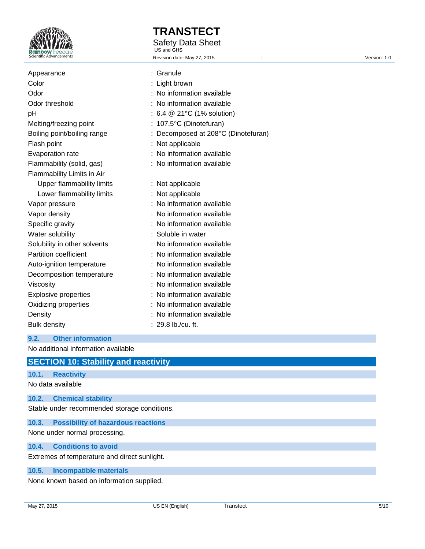

Appearance

# **TRANSTECT**

Safety Data Sheet

 US and GHS Revision date: May 27, 2015 <br>
Revision date: May 27, 2015

| Appearance                   | : Granule                                     |
|------------------------------|-----------------------------------------------|
| Color                        | : Light brown                                 |
| Odor                         | : No information available                    |
| Odor threshold               | : No information available                    |
| рH                           | : 6.4 $@$ 21 $°C$ (1% solution)               |
| Melting/freezing point       | : $107.5^{\circ}$ C (Dinotefuran)             |
| Boiling point/boiling range  | : Decomposed at $208^{\circ}$ C (Dinotefuran) |
| Flash point                  | : Not applicable                              |
| Evaporation rate             | : No information available                    |
| Flammability (solid, gas)    | : No information available                    |
| Flammability Limits in Air   |                                               |
| Upper flammability limits    | : Not applicable                              |
| Lower flammability limits    | : Not applicable                              |
| Vapor pressure               | : No information available                    |
| Vapor density                | : No information available                    |
| Specific gravity             | : No information available                    |
| Water solubility             | : Soluble in water                            |
| Solubility in other solvents | : No information available                    |

Partition coefficient **interest in the Community** No information available

- Auto-ignition temperature : No information available
- Decomposition temperature : No information available
- Viscosity **intervalse in the COV** is No information available
- Explosive properties : No information available
- Oxidizing properties : No information available
- Density **Density** : No information available
- Bulk density : 29.8 lb./cu. ft.

# **9.2. Other information**

No additional information available

# **SECTION 10: Stability and reactivity**

# **10.1. Reactivity**

No data available

# **10.2. Chemical stability**

Stable under recommended storage conditions.

# **10.3. Possibility of hazardous reactions**

None under normal processing.

# **10.4. Conditions to avoid**

Extremes of temperature and direct sunlight.

# **10.5. Incompatible materials**

None known based on information supplied.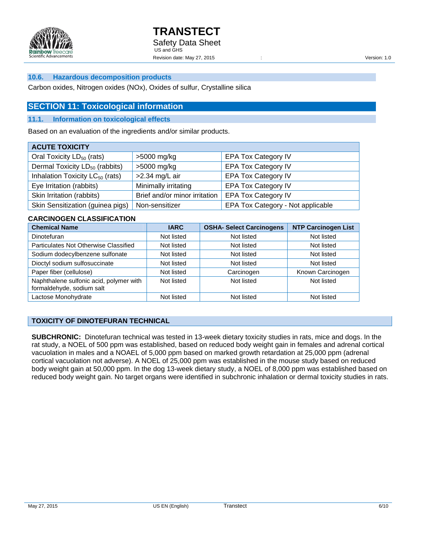

## **10.6. Hazardous decomposition products**

Carbon oxides, Nitrogen oxides (NOx), Oxides of sulfur, Crystalline silica

# **SECTION 11: Toxicological information**

#### **11.1. Information on toxicological effects**

Based on an evaluation of the ingredients and/or similar products.

| <b>ACUTE TOXICITY</b>                       |                               |                                   |  |  |
|---------------------------------------------|-------------------------------|-----------------------------------|--|--|
| Oral Toxicity LD <sub>50</sub> (rats)       | >5000 mg/kg                   | <b>EPA Tox Category IV</b>        |  |  |
| Dermal Toxicity $LD_{50}$ (rabbits)         | >5000 mg/kg                   | <b>EPA Tox Category IV</b>        |  |  |
| Inhalation Toxicity LC <sub>50</sub> (rats) | >2.34 mg/L air                | <b>EPA Tox Category IV</b>        |  |  |
| Eye Irritation (rabbits)                    | Minimally irritating          | <b>EPA Tox Category IV</b>        |  |  |
| Skin Irritation (rabbits)                   | Brief and/or minor irritation | <b>EPA Tox Category IV</b>        |  |  |
| Skin Sensitization (guinea pigs)            | Non-sensitizer                | EPA Tox Category - Not applicable |  |  |

## **CARCINOGEN CLASSIFICATION**

| <b>Chemical Name</b>                                                 | <b>IARC</b> | <b>OSHA- Select Carcinogens</b> | <b>NTP Carcinogen List</b> |
|----------------------------------------------------------------------|-------------|---------------------------------|----------------------------|
| Dinotefuran                                                          | Not listed  | Not listed                      | Not listed                 |
| Particulates Not Otherwise Classified                                | Not listed  | Not listed                      | Not listed                 |
| Sodium dodecylbenzene sulfonate                                      | Not listed  | Not listed                      | Not listed                 |
| Dioctyl sodium sulfosuccinate                                        | Not listed  | Not listed                      | Not listed                 |
| Paper fiber (cellulose)                                              | Not listed  | Carcinogen                      | Known Carcinogen           |
| Naphthalene sulfonic acid, polymer with<br>formaldehyde, sodium salt | Not listed  | Not listed                      | Not listed                 |
| Lactose Monohydrate                                                  | Not listed  | Not listed                      | Not listed                 |

## **TOXICITY OF DINOTEFURAN TECHNICAL**

**SUBCHRONIC:** Dinotefuran technical was tested in 13-week dietary toxicity studies in rats, mice and dogs. In the rat study, a NOEL of 500 ppm was established, based on reduced body weight gain in females and adrenal cortical vacuolation in males and a NOAEL of 5,000 ppm based on marked growth retardation at 25,000 ppm (adrenal cortical vacuolation not adverse). A NOEL of 25,000 ppm was established in the mouse study based on reduced body weight gain at 50,000 ppm. In the dog 13-week dietary study, a NOEL of 8,000 ppm was established based on reduced body weight gain. No target organs were identified in subchronic inhalation or dermal toxicity studies in rats.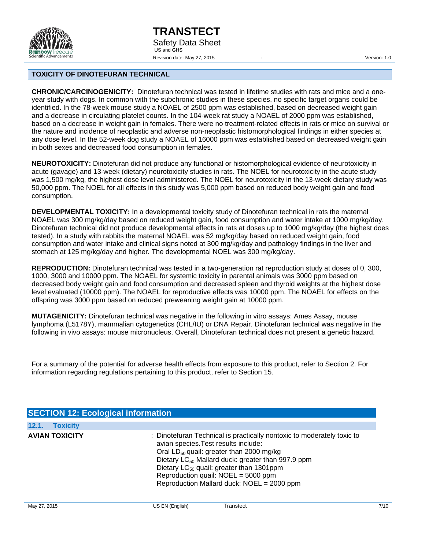

#### **TOXICITY OF DINOTEFURAN TECHNICAL**

**CHRONIC/CARCINOGENICITY:** Dinotefuran technical was tested in lifetime studies with rats and mice and a oneyear study with dogs. In common with the subchronic studies in these species, no specific target organs could be identified. In the 78-week mouse study a NOAEL of 2500 ppm was established, based on decreased weight gain and a decrease in circulating platelet counts. In the 104-week rat study a NOAEL of 2000 ppm was established, based on a decrease in weight gain in females. There were no treatment-related effects in rats or mice on survival or the nature and incidence of neoplastic and adverse non-neoplastic histomorphological findings in either species at any dose level. In the 52-week dog study a NOAEL of 16000 ppm was established based on decreased weight gain in both sexes and decreased food consumption in females.

**NEUROTOXICITY:** Dinotefuran did not produce any functional or histomorphological evidence of neurotoxicity in acute (gavage) and 13-week (dietary) neurotoxicity studies in rats. The NOEL for neurotoxicity in the acute study was 1,500 mg/kg, the highest dose level administered. The NOEL for neurotoxicity in the 13-week dietary study was 50,000 ppm. The NOEL for all effects in this study was 5,000 ppm based on reduced body weight gain and food consumption.

**DEVELOPMENTAL TOXICITY:** In a developmental toxicity study of Dinotefuran technical in rats the maternal NOAEL was 300 mg/kg/day based on reduced weight gain, food consumption and water intake at 1000 mg/kg/day. Dinotefuran technical did not produce developmental effects in rats at doses up to 1000 mg/kg/day (the highest does tested). In a study with rabbits the maternal NOAEL was 52 mg/kg/day based on reduced weight gain, food consumption and water intake and clinical signs noted at 300 mg/kg/day and pathology findings in the liver and stomach at 125 mg/kg/day and higher. The developmental NOEL was 300 mg/kg/day.

**REPRODUCTION:** Dinotefuran technical was tested in a two-generation rat reproduction study at doses of 0, 300, 1000, 3000 and 10000 ppm. The NOAEL for systemic toxicity in parental animals was 3000 ppm based on decreased body weight gain and food consumption and decreased spleen and thyroid weights at the highest dose level evaluated (10000 ppm). The NOAEL for reproductive effects was 10000 ppm. The NOAEL for effects on the offspring was 3000 ppm based on reduced preweaning weight gain at 10000 ppm.

**MUTAGENICITY:** Dinotefuran technical was negative in the following in vitro assays: Ames Assay, mouse lymphoma (L5178Y), mammalian cytogenetics (CHL/IU) or DNA Repair. Dinotefuran technical was negative in the following in vivo assays: mouse micronucleus. Overall, Dinotefuran technical does not present a genetic hazard.

For a summary of the potential for adverse health effects from exposure to this product, refer to Section 2. For information regarding regulations pertaining to this product, refer to Section 15.

| <b>SECTION 12: Ecological information</b> |                                                                                                                                                                                                                                                                                                                                                                                      |
|-------------------------------------------|--------------------------------------------------------------------------------------------------------------------------------------------------------------------------------------------------------------------------------------------------------------------------------------------------------------------------------------------------------------------------------------|
| 12.1.<br><b>Toxicity</b>                  |                                                                                                                                                                                                                                                                                                                                                                                      |
| <b>AVIAN TOXICITY</b>                     | : Dinotefuran Technical is practically nontoxic to moderately toxic to<br>avian species. Test results include:<br>Oral LD <sub>50</sub> quail: greater than 2000 mg/kg<br>Dietary LC <sub>50</sub> Mallard duck: greater than 997.9 ppm<br>Dietary LC <sub>50</sub> quail: greater than 1301ppm<br>Reproduction quail: NOEL = 5000 ppm<br>Reproduction Mallard duck: NOEL = 2000 ppm |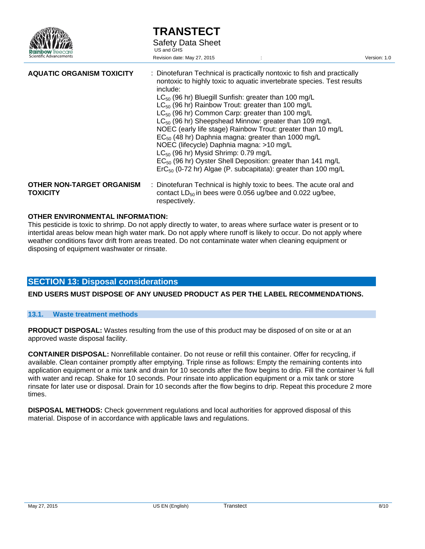

| <b>TRANSTECT</b>         |
|--------------------------|
| <b>Safety Data Sheet</b> |
| US and GHS               |

Revision date: May 27, 2015 : Version: 1.0

| <b>AQUATIC ORGANISM TOXICITY</b> | : Dinotefuran Technical is practically nontoxic to fish and practically<br>nontoxic to highly toxic to aquatic invertebrate species. Test results<br>include:<br>$LC_{50}$ (96 hr) Bluegill Sunfish: greater than 100 mg/L<br>$LC_{50}$ (96 hr) Rainbow Trout: greater than 100 mg/L<br>$LC_{50}$ (96 hr) Common Carp: greater than 100 mg/L<br>$LC_{50}$ (96 hr) Sheepshead Minnow: greater than 109 mg/L<br>NOEC (early life stage) Rainbow Trout: greater than 10 mg/L<br>EC <sub>50</sub> (48 hr) Daphnia magna: greater than 1000 mg/L<br>NOEC (lifecycle) Daphnia magna: >10 mg/L<br>$LC_{50}$ (96 hr) Mysid Shrimp: 0.79 mg/L<br>$EC_{50}$ (96 hr) Oyster Shell Deposition: greater than 141 mg/L<br>$\text{ErC}_{50}$ (0-72 hr) Algae (P. subcapitata): greater than 100 mg/L |
|----------------------------------|---------------------------------------------------------------------------------------------------------------------------------------------------------------------------------------------------------------------------------------------------------------------------------------------------------------------------------------------------------------------------------------------------------------------------------------------------------------------------------------------------------------------------------------------------------------------------------------------------------------------------------------------------------------------------------------------------------------------------------------------------------------------------------------|
| <b>OTHER NON-TARGET ORGANISM</b> | : Dinotefuran Technical is highly toxic to bees. The acute oral and                                                                                                                                                                                                                                                                                                                                                                                                                                                                                                                                                                                                                                                                                                                   |
| <b>TOXICITY</b>                  | contact $LD_{50}$ in bees were 0.056 ug/bee and 0.022 ug/bee,                                                                                                                                                                                                                                                                                                                                                                                                                                                                                                                                                                                                                                                                                                                         |

#### **OTHER ENVIRONMENTAL INFORMATION:**

This pesticide is toxic to shrimp. Do not apply directly to water, to areas where surface water is present or to intertidal areas below mean high water mark. Do not apply where runoff is likely to occur. Do not apply where weather conditions favor drift from areas treated. Do not contaminate water when cleaning equipment or disposing of equipment washwater or rinsate.

respectively.

## **SECTION 13: Disposal considerations**

**END USERS MUST DISPOSE OF ANY UNUSED PRODUCT AS PER THE LABEL RECOMMENDATIONS.** 

## **13.1. Waste treatment methods**

**PRODUCT DISPOSAL:** Wastes resulting from the use of this product may be disposed of on site or at an approved waste disposal facility.

**CONTAINER DISPOSAL:** Nonrefillable container. Do not reuse or refill this container. Offer for recycling, if available. Clean container promptly after emptying. Triple rinse as follows: Empty the remaining contents into application equipment or a mix tank and drain for 10 seconds after the flow begins to drip. Fill the container  $\frac{1}{4}$  full with water and recap. Shake for 10 seconds. Pour rinsate into application equipment or a mix tank or store rinsate for later use or disposal. Drain for 10 seconds after the flow begins to drip. Repeat this procedure 2 more times.

**DISPOSAL METHODS:** Check government regulations and local authorities for approved disposal of this material. Dispose of in accordance with applicable laws and regulations.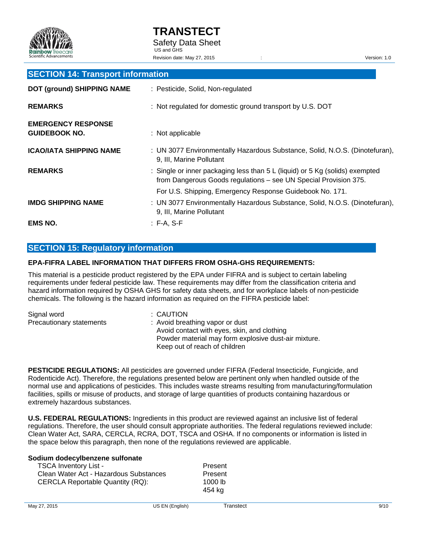

## **SECTION 14: Transport information**

| <b>DOT (ground) SHIPPING NAME</b>                 | : Pesticide, Solid, Non-regulated                                                                                                                |
|---------------------------------------------------|--------------------------------------------------------------------------------------------------------------------------------------------------|
| <b>REMARKS</b>                                    | : Not regulated for domestic ground transport by U.S. DOT                                                                                        |
| <b>EMERGENCY RESPONSE</b><br><b>GUIDEBOOK NO.</b> | : Not applicable                                                                                                                                 |
| <b>ICAO/IATA SHIPPING NAME</b>                    | : UN 3077 Environmentally Hazardous Substance, Solid, N.O.S. (Dinotefuran),<br>9, III, Marine Pollutant                                          |
| <b>REMARKS</b>                                    | : Single or inner packaging less than 5 L (liquid) or 5 Kg (solids) exempted<br>from Dangerous Goods regulations - see UN Special Provision 375. |
|                                                   | For U.S. Shipping, Emergency Response Guidebook No. 171.                                                                                         |
| <b>IMDG SHIPPING NAME</b>                         | : UN 3077 Environmentally Hazardous Substance, Solid, N.O.S. (Dinotefuran),<br>9, III, Marine Pollutant                                          |
| <b>EMS NO.</b>                                    | $: F-A. S-F$                                                                                                                                     |

# **SECTION 15: Regulatory information**

## **EPA-FIFRA LABEL INFORMATION THAT DIFFERS FROM OSHA-GHS REQUIREMENTS:**

This material is a pesticide product registered by the EPA under FIFRA and is subject to certain labeling requirements under federal pesticide law. These requirements may differ from the classification criteria and hazard information required by OSHA GHS for safety data sheets, and for workplace labels of non-pesticide chemicals. The following is the hazard information as required on the FIFRA pesticide label:

| Signal word              | : CAUTION                                            |
|--------------------------|------------------------------------------------------|
| Precautionary statements | : Avoid breathing vapor or dust                      |
|                          | Avoid contact with eyes, skin, and clothing          |
|                          | Powder material may form explosive dust-air mixture. |
|                          | Keep out of reach of children                        |

**PESTICIDE REGULATIONS:** All pesticides are governed under FIFRA (Federal Insecticide, Fungicide, and Rodenticide Act). Therefore, the regulations presented below are pertinent only when handled outside of the normal use and applications of pesticides. This includes waste streams resulting from manufacturing/formulation facilities, spills or misuse of products, and storage of large quantities of products containing hazardous or extremely hazardous substances.

**U.S. FEDERAL REGULATIONS:** Ingredients in this product are reviewed against an inclusive list of federal regulations. Therefore, the user should consult appropriate authorities. The federal regulations reviewed include: Clean Water Act, SARA, CERCLA, RCRA, DOT, TSCA and OSHA. If no components or information is listed in the space below this paragraph, then none of the regulations reviewed are applicable.

> Present **Present** 1000 lb 454 kg

| Sodium dodecylbenzene sulfonate |  |
|---------------------------------|--|
| <b>TSCA Inventory List -</b>    |  |

| <b>I SUA INVENIORY LISE-</b>            |  |
|-----------------------------------------|--|
| Clean Water Act - Hazardous Substances  |  |
| <b>CERCLA Reportable Quantity (RQ):</b> |  |
|                                         |  |